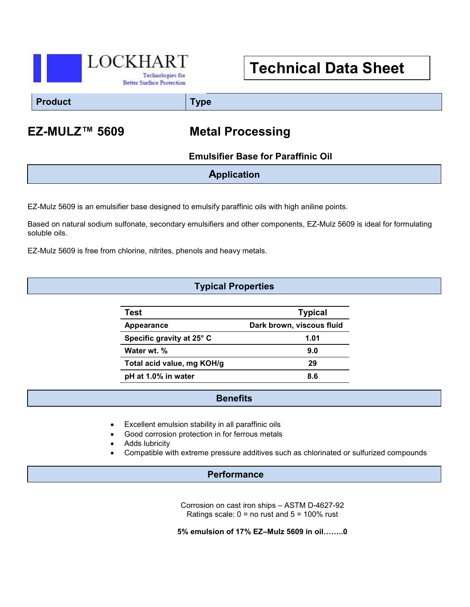

# **Technical Data Sheet**

**Product Type**

## **EZ-MULZ™ 5609 Metal Processing**

 **Emulsifier Base for Paraffinic Oil**

**Application**

EZ-Mulz 5609 is an emulsifier base designed to emulsify paraffinic oils with high aniline points.

Based on natural sodium sulfonate, secondary emulsifiers and other components, EZ-Mulz 5609 is ideal for formulating soluble oils.

EZ-Mulz 5609 is free from chlorine, nitrites, phenols and heavy metals.

### **Typical Properties**

| Test                       | <b>Typical</b>            |
|----------------------------|---------------------------|
| Appearance                 | Dark brown, viscous fluid |
| Specific gravity at 25° C  | 1.01                      |
| Water wt. %                | 9.0                       |
| Total acid value, mg KOH/g | 29                        |
| pH at 1.0% in water        | 8.6                       |

#### **Benefits**

- Excellent emulsion stability in all paraffinic oils
- Good corrosion protection in for ferrous metals
- Adds lubricity
- Compatible with extreme pressure additives such as chlorinated or sulfurized compounds

#### **Performance**

Corrosion on cast iron ships – ASTM D-4627-92 Ratings scale:  $0 =$  no rust and  $5 = 100\%$  rust

**5% emulsion of 17% EZ–Mulz 5609 in oil……..0**